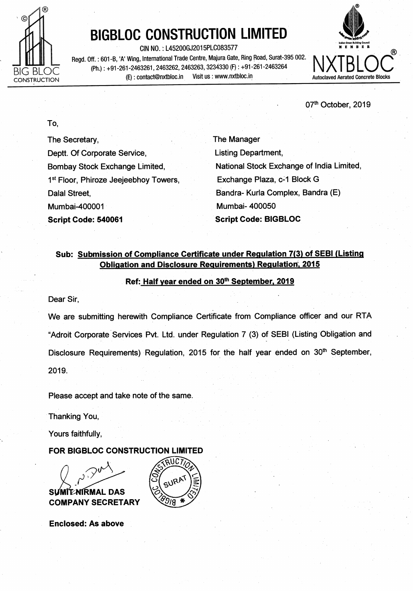

# **BIGBLOC CONSTRUCTION LIMITED**

CIN NO. : L45200GJ2015PLC083577 **MEMBBR**  Regd. Off. : 601 -B, **'A'** Wing, International Trade Centre, Majura Gate, Ring Road, Surat-395 002. (Ph.) : +91-261-2463261,2463262,2463263,3234330 (F) : +91-261-2463264 (E) : contact@nxtbloc.in Visit us : www.nxtbloc.in **Autoclaved Aerated Concrete Blocks** 



07<sup>th</sup> October, 2019

To,

The Secretary, Deptt. Of Corporate Service, Bombay Stock Exchange Limited, 1<sup>st</sup> Floor, Phiroze Jeejeebhoy Towers, Dalal Street, Mumbai-400001 **Script Code: 540061** 

The Manager Listing Department, National Stock Exchange of India Limited, Exchange Plaza, c-1 Block G Bandra- Kurla Complex, Bandra (E) Mumbai- 400050 **Script Code: BIGBLOC** 

# **Sub: Submission of Compliance Certificate under Requlation 7(3) of SEBl (Listing Obligation and Disclosure Requirements) Regulation, 2015**

### **Ref: Half year ended on 30th September, 2019**

Dear Sir,

We are submitting herewith Compliance Certificate from Compliance officer and our RTA "Adroit Corporate Services Pvt. Ltd. under Regulation 7 (3) of SEBl (Listing Obligation and Disclosure Requirements) Regulation, 2015 for the half year ended on 30<sup>th</sup> September, 2019.

Please accept and take note of the same.

Thanking You,

Yours faithfully,

## **FOR BIGBLOC CONSTRUCTION LIMITED**

MITANIRMAL DAS Sι **COMPANY SECRETARY** 



I **Enclosed: As above**